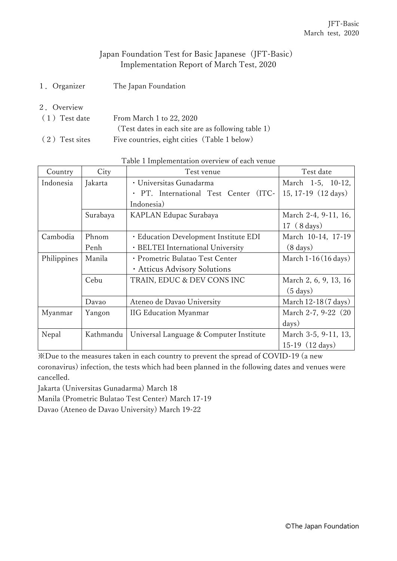## Japan Foundation Test for Basic Japanese (JFT-Basic) Implementation Report of March Test, 2020

- 1.Organizer The Japan Foundation
- 2.Overview
- (1) Test date From March 1 to 22, 2020 (Test dates in each site are as following table 1) (2) Test sites Five countries, eight cities (Table 1 below)

| Country     | City      | Test venue                               | Test date                     |
|-------------|-----------|------------------------------------------|-------------------------------|
| Indonesia   | Jakarta   | · Universitas Gunadarma                  | March 1-5, 10-12,             |
|             |           | · PT. International Test Center<br>(ITC- | 15, 17-19 (12 days)           |
|             |           |                                          |                               |
|             | Surabaya  | KAPLAN Edupac Surabaya                   | March 2-4, 9-11, 16,          |
|             |           |                                          | $17(8 \text{ days})$          |
| Cambodia    | Phnom     | · Education Development Institute EDI    | March 10-14, 17-19            |
|             | Penh      | · BELTEI International University        | $(8 \text{ days})$            |
| Philippines | Manila    | · Prometric Bulatao Test Center          | March $1-16(16 \text{ days})$ |
|             |           | · Atticus Advisory Solutions             |                               |
|             | Cebu      | TRAIN, EDUC & DEV CONS INC               | March 2, 6, 9, 13, 16         |
|             |           |                                          | $(5 \text{ days})$            |
|             | Davao     | Ateneo de Davao University               | March $12-18(7 \text{ days})$ |
| Myanmar     | Yangon    | <b>IIG Education Myanmar</b>             | March 2-7, 9-22 (20           |
|             |           |                                          | days)                         |
| Nepal       | Kathmandu | Universal Language & Computer Institute  | March 3-5, 9-11, 13,          |
|             |           |                                          | 15-19 $(12 \text{ days})$     |

Table 1 Implementation overview of each venue

※Due to the measures taken in each country to prevent the spread of COVID-19 (a new coronavirus) infection, the tests which had been planned in the following dates and venues were cancelled.

Jakarta (Universitas Gunadarma) March 18

Manila (Prometric Bulatao Test Center) March 17-19

Davao (Ateneo de Davao University) March 19-22